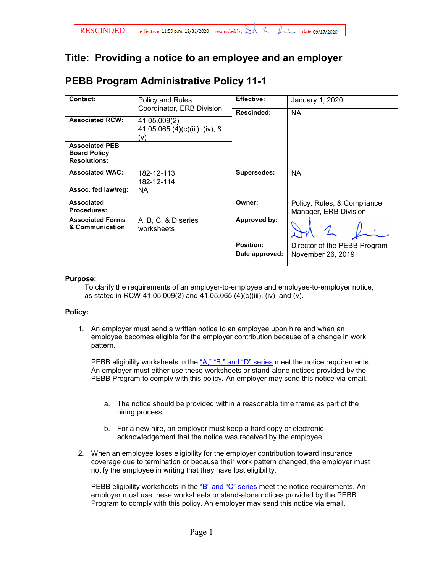## **Title: Providing a notice to an employee and an employer**

## **PEBB Program Administrative Policy 11-1**

| Contact:                                                            | Policy and Rules<br>Coordinator, ERB Division         | <b>Effective:</b>  | January 1, 2020                                      |
|---------------------------------------------------------------------|-------------------------------------------------------|--------------------|------------------------------------------------------|
|                                                                     |                                                       | Rescinded:         | NA.                                                  |
| <b>Associated RCW:</b>                                              | 41.05.009(2)<br>41.05.065 (4)(c)(iii), (iv), &<br>(v) |                    |                                                      |
| <b>Associated PEB</b><br><b>Board Policy</b><br><b>Resolutions:</b> |                                                       |                    |                                                      |
| <b>Associated WAC:</b>                                              | 182-12-113<br>182-12-114                              | <b>Supersedes:</b> | NA.                                                  |
| Assoc. fed law/reg:                                                 | NA.                                                   |                    |                                                      |
| <b>Associated</b><br><b>Procedures:</b>                             |                                                       | Owner:             | Policy, Rules, & Compliance<br>Manager, ERB Division |
| <b>Associated Forms</b><br>& Communication                          | A, B, C, & D series<br>worksheets                     | Approved by:       |                                                      |
|                                                                     |                                                       | <b>Position:</b>   | Director of the PEBB Program                         |
|                                                                     |                                                       | Date approved:     | November 26, 2019                                    |

## **Purpose:**

To clarify the requirements of an employer-to-employee and employee-to-employer notice, as stated in RCW 41.05.009(2) and 41.05.065 (4)(c)(iii), (iv), and (v).

## **Policy:**

1. An employer must send a written notice to an employee upon hire and when an employee becomes eligible for the employer contribution because of a change in work pattern.

PEBB eligibility worksheets in the  $A$ ," "B," and "D" series meet the notice requirements. An employer must either use these worksheets or stand-alone notices provided by the PEBB Program to comply with this policy. An employer may send this notice via email.

- a. The notice should be provided within a reasonable time frame as part of the hiring process.
- b. For a new hire, an employer must keep a hard copy or electronic acknowledgement that the notice was received by the employee.
- 2. When an employee loses eligibility for the employer contribution toward insurance coverage due to termination or because their work pattern changed, the employer must notify the employee in writing that they have lost eligibility.

PEBB eligibility worksheets in the ["B" and "C" series](https://www.hca.wa.gov/perspay/pebb-benefit-eligibility-tools-and-worksheets) meet the notice requirements. An employer must use these worksheets or stand-alone notices provided by the PEBB Program to comply with this policy. An employer may send this notice via email.